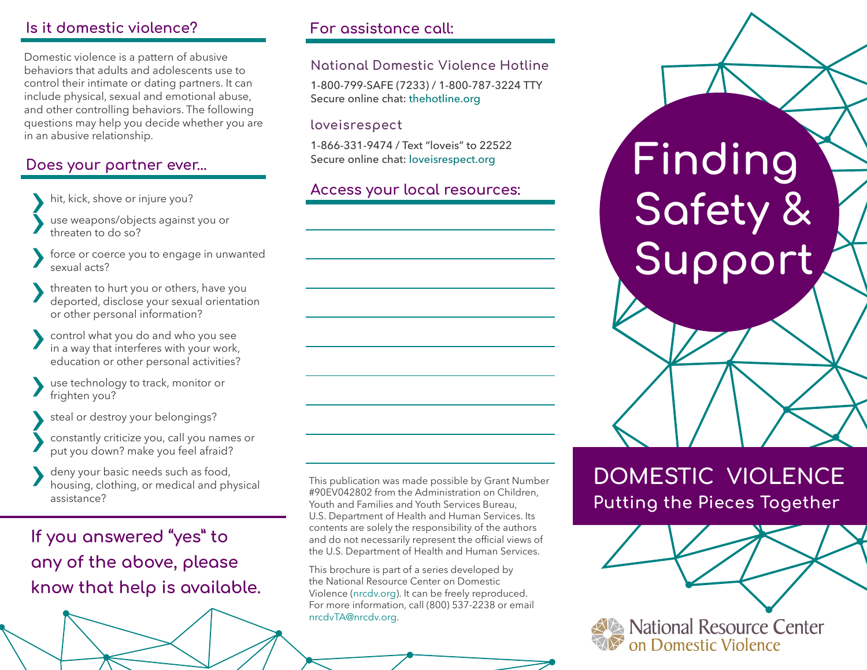## **Is it domestic violence?**

Domestic violence is a pattern of abusive behaviors that adults and adolescents use to control their intimate or dating partners. It can include physical, sexual and emotional abuse, and other controlling behaviors. The following questions may help you decide whether you are in an abusive relationship.

## **Does your partner ever...**

hit, kick, shove or injure you?

use weapons/objects against you or threaten to do so?

force or coerce you to engage in unwanted sexual acts?

sexual acts?<br>
threaten to hurt you or others, have you<br>
deported, disclose your sexual orientation<br>
or other personal information? or other personal information?

or other personal information?<br>
in a way that interferes with your work,<br>
education or other personal activities? education or other personal activities?

use technology to track, monitor or frighten you?

steal or destroy your belongings?<br>
constantly criticize you, call you names or steal or destroy your belongings?<br>
constantly criticize you, call you names or<br>
put you down? make you feel afraid?

• put you down? make you reel arraid?<br>
• deny your basic needs such as food,<br>
housing, clothing, or medical and physical<br>
assistance? assistance?

**If you answered "yes" to any of the above, please know that help is available.** **For assistance call:**

### **National Domestic Violence Hotline**

1-800-799-SAFE (7233) / 1-800-787-3224 TTY Secure online chat: thehotline.org

#### **loveisrespect**

1-866-331-9474 / Text "loveis" to 22522 Secure online chat: [loveisrespect.org](http://www.loveisrespect.org/for-yourself/contact-us/)

## **Access your local resources:**

This publication was made possible by Grant Number #90EV042802 from the Administration on Children, Youth and Families and Youth Services Bureau, U.S. Department of Health and Human Services. Its contents are solely the responsibility of the authors and do not necessarily represent the official views of the U.S. Department of Health and Human Services.

This brochure is part of a series developed by the National Resource Center on Domestic Violence ([nrcdv.org\)](http://www.nrcdv.org). It can be freely reproduced. For more information, call (800) 537-2238 or email nrcdvTA@nrcdv.org.

**Finding Safety & Support**

# **DOMESTIC VIOLENCE Putting the Pieces Together**